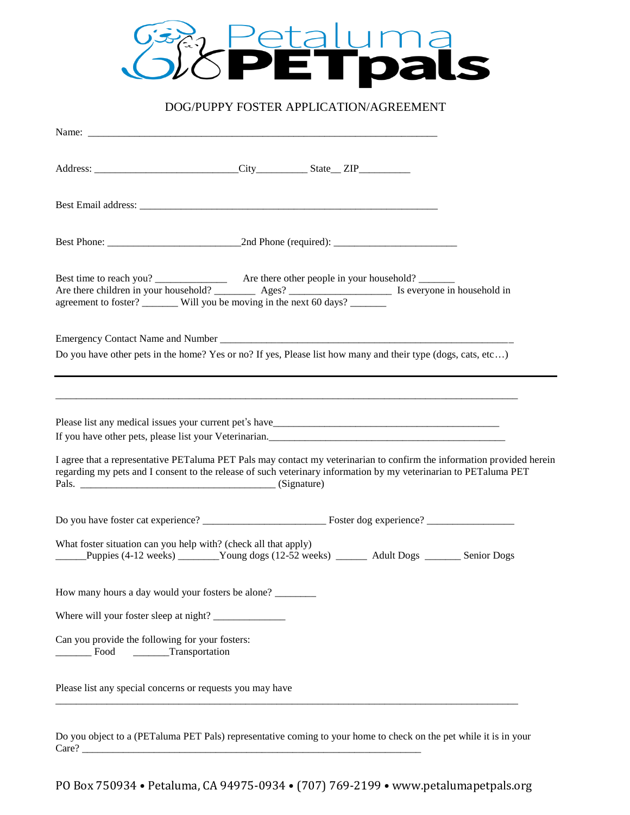

# DOG/PUPPY FOSTER APPLICATION/AGREEMENT

| Are there children in your household? $\frac{\text{Ages?}}{\text{Ages?}}$ Is everyone in household in agreement to foster? Will you be moving in the next 60 days?                                                                                                                                    |
|-------------------------------------------------------------------------------------------------------------------------------------------------------------------------------------------------------------------------------------------------------------------------------------------------------|
| Do you have other pets in the home? Yes or no? If yes, Please list how many and their type (dogs, cats, etc)                                                                                                                                                                                          |
| If you have other pets, please list your Veterinarian.<br>I agree that a representative PET aluma PET Pals may contact my veterinarian to confirm the information provided herein<br>regarding my pets and I consent to the release of such veterinary information by my veterinarian to PETaluma PET |
|                                                                                                                                                                                                                                                                                                       |
| What foster situation can you help with? (check all that apply)<br>Puppies (4-12 weeks) _______Young dogs (12-52 weeks) _______ Adult Dogs _______ Senior Dogs                                                                                                                                        |
| How many hours a day would your fosters be alone?                                                                                                                                                                                                                                                     |
|                                                                                                                                                                                                                                                                                                       |
| Can you provide the following for your fosters:<br>Transportation<br>Food                                                                                                                                                                                                                             |
| Please list any special concerns or requests you may have                                                                                                                                                                                                                                             |

Do you object to a (PETaluma PET Pals) representative coming to your home to check on the pet while it is in your Care? \_\_\_\_\_\_\_\_\_\_\_\_\_\_\_\_\_\_\_\_\_\_\_\_\_\_\_\_\_\_\_\_\_\_\_\_\_\_\_\_\_\_\_\_\_\_\_\_\_\_\_\_\_\_\_\_\_\_\_\_\_\_\_\_\_\_

PO Box 750934 • Petaluma, CA 94975-0934 • (707) 769-2199 • www.petalumapetpals.org